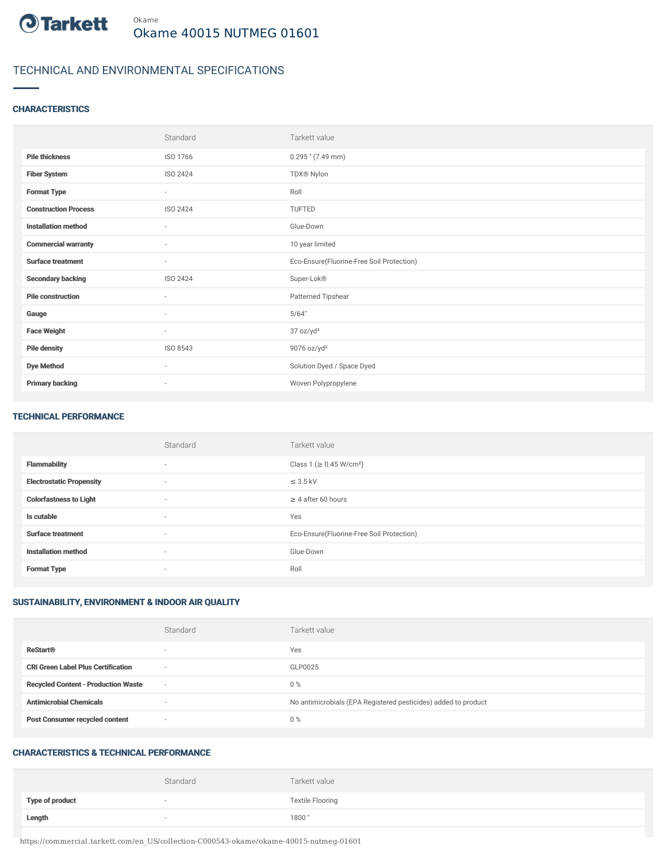

## TECHNICAL AND ENVIRONMENTAL SPECIFICATIONS

#### **CHARACTERISTICS**

|                             | Standard                 | Tarkett value                             |
|-----------------------------|--------------------------|-------------------------------------------|
| <b>Pile thickness</b>       | ISO 1766                 | $0.295$ " (7.49 mm)                       |
| <b>Fiber System</b>         | ISO 2424                 | TDX® Nylon                                |
| <b>Format Type</b>          | $\sim$                   | Roll                                      |
| <b>Construction Process</b> | ISO 2424                 | TUFTED                                    |
| <b>Installation method</b>  | $\sim$                   | Glue-Down                                 |
| <b>Commercial warranty</b>  | $\sim$                   | 10 year limited                           |
| <b>Surface treatment</b>    | $\overline{\phantom{a}}$ | Eco-Ensure(Fluorine-Free Soil Protection) |
| <b>Secondary backing</b>    | ISO 2424                 | Super-Lok®                                |
| <b>Pile construction</b>    | $\sim$                   | Patterned Tipshear                        |
| Gauge                       | $\sim$                   | 5/64"                                     |
| <b>Face Weight</b>          | $\sim$                   | 37 oz/yd <sup>2</sup>                     |
| <b>Pile density</b>         | ISO 8543                 | 9076 oz/yd <sup>3</sup>                   |
| <b>Dye Method</b>           | $\sim$                   | Solution Dyed / Space Dyed                |
| <b>Primary backing</b>      | $\overline{\phantom{a}}$ | Woven Polypropylene                       |

#### TECHNICAL PERFORMANCE

|                                 | Standard                 | Tarkett value                             |
|---------------------------------|--------------------------|-------------------------------------------|
| <b>Flammability</b>             | $\overline{\phantom{a}}$ | Class 1 (≥ 0.45 W/cm <sup>2</sup> )       |
| <b>Electrostatic Propensity</b> | $\sim$                   | $\leq$ 3.5 kV                             |
| <b>Colorfastness to Light</b>   | $\sim$                   | $\geq$ 4 after 60 hours                   |
| Is cutable                      | $\sim$                   | Yes                                       |
| <b>Surface treatment</b>        | $\sim$                   | Eco-Ensure(Fluorine-Free Soil Protection) |
| <b>Installation method</b>      | $\sim$                   | Glue-Down                                 |
| <b>Format Type</b>              | $\sim$                   | Roll                                      |

### SUSTAINABILITY, ENVIRONMENT & INDOOR AIR QUALITY

|                                            | Standard                 | Tarkett value                                                  |
|--------------------------------------------|--------------------------|----------------------------------------------------------------|
| <b>ReStart®</b>                            | $\overline{\phantom{a}}$ | Yes                                                            |
| <b>CRI Green Label Plus Certification</b>  | $\overline{\phantom{a}}$ | GLP0025                                                        |
| <b>Recycled Content - Production Waste</b> | $\overline{\phantom{a}}$ | $0\%$                                                          |
| <b>Antimicrobial Chemicals</b>             | $\overline{\phantom{a}}$ | No antimicrobials (EPA Registered pesticides) added to product |
| <b>Post Consumer recycled content</b>      | $\sim$                   | $0\%$                                                          |

#### CHARACTERISTICS & TECHNICAL PERFORMANCE

|                 | Standard | Tarkett value           |
|-----------------|----------|-------------------------|
| Type of product | $\sim$   | <b>Textile Flooring</b> |
| Length          | $\sim$   | 1800"                   |

https://commercial.tarkett.com/en\_US/collection-C000543-okame/okame-40015-nutmeg-01601